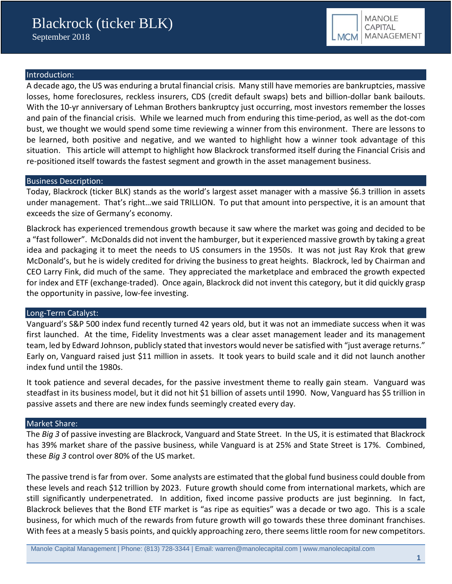## Introduction:

A decade ago, the US was enduring a brutal financial crisis. Many still have memories are bankruptcies, massive losses, home foreclosures, reckless insurers, CDS (credit default swaps) bets and billion-dollar bank bailouts. With the 10-yr anniversary of Lehman Brothers bankruptcy just occurring, most investors remember the losses and pain of the financial crisis. While we learned much from enduring this time-period, as well as the dot-com bust, we thought we would spend some time reviewing a winner from this environment. There are lessons to be learned, both positive and negative, and we wanted to highlight how a winner took advantage of this situation. This article will attempt to highlight how Blackrock transformed itself during the Financial Crisis and re-positioned itself towards the fastest segment and growth in the asset management business.

### Business Description:

Today, Blackrock (ticker BLK) stands as the world's largest asset manager with a massive \$6.3 trillion in assets under management. That's right…we said TRILLION. To put that amount into perspective, it is an amount that exceeds the size of Germany's economy.

Blackrock has experienced tremendous growth because it saw where the market was going and decided to be a "fast follower". McDonalds did not invent the hamburger, but it experienced massive growth by taking a great idea and packaging it to meet the needs to US consumers in the 1950s. It was not just Ray Krok that grew McDonald's, but he is widely credited for driving the business to great heights. Blackrock, led by Chairman and CEO Larry Fink, did much of the same. They appreciated the marketplace and embraced the growth expected for index and ETF (exchange-traded). Once again, Blackrock did not invent this category, but it did quickly grasp the opportunity in passive, low-fee investing.

### Long-Term Catalyst:

Vanguard's S&P 500 index fund recently turned 42 years old, but it was not an immediate success when it was first launched. At the time, Fidelity Investments was a clear asset management leader and its management team, led by Edward Johnson, publicly stated that investors would never be satisfied with "just average returns." Early on, Vanguard raised just \$11 million in assets. It took years to build scale and it did not launch another index fund until the 1980s.

It took patience and several decades, for the passive investment theme to really gain steam. Vanguard was steadfast in its business model, but it did not hit \$1 billion of assets until 1990. Now, Vanguard has \$5 trillion in passive assets and there are new index funds seemingly created every day.

### Market Share:

The *Big 3* of passive investing are Blackrock, Vanguard and State Street. In the US, it is estimated that Blackrock has 39% market share of the passive business, while Vanguard is at 25% and State Street is 17%. Combined, these *Big 3* control over 80% of the US market.

The passive trend is far from over. Some analysts are estimated that the global fund business could double from these levels and reach \$12 trillion by 2023. Future growth should come from international markets, which are still significantly underpenetrated. In addition, fixed income passive products are just beginning. In fact, Blackrock believes that the Bond ETF market is "as ripe as equities" was a decade or two ago. This is a scale business, for which much of the rewards from future growth will go towards these three dominant franchises. With fees at a measly 5 basis points, and quickly approaching zero, there seems little room for new competitors.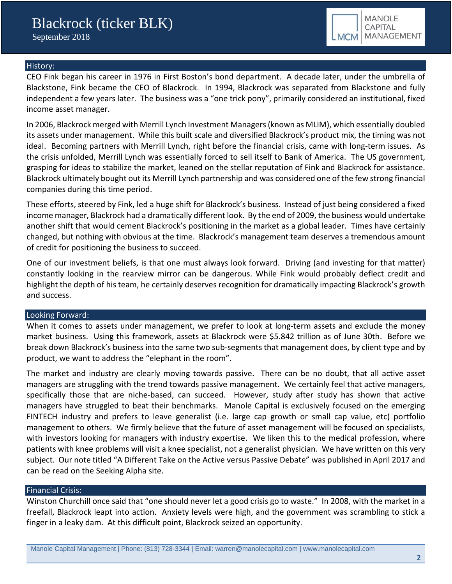

#### History:

CEO Fink began his career in 1976 in First Boston's bond department. A decade later, under the umbrella of Blackstone, Fink became the CEO of Blackrock. In 1994, Blackrock was separated from Blackstone and fully independent a few years later. The business was a "one trick pony", primarily considered an institutional, fixed income asset manager.

In 2006, Blackrock merged with Merrill Lynch Investment Managers (known as MLIM), which essentially doubled its assets under management. While this built scale and diversified Blackrock's product mix, the timing was not ideal. Becoming partners with Merrill Lynch, right before the financial crisis, came with long-term issues. As the crisis unfolded, Merrill Lynch was essentially forced to sell itself to Bank of America. The US government, grasping for ideas to stabilize the market, leaned on the stellar reputation of Fink and Blackrock for assistance. Blackrock ultimately bought out its Merrill Lynch partnership and was considered one of the few strong financial companies during this time period.

These efforts, steered by Fink, led a huge shift for Blackrock's business. Instead of just being considered a fixed income manager, Blackrock had a dramatically different look. By the end of 2009, the business would undertake another shift that would cement Blackrock's positioning in the market as a global leader. Times have certainly changed, but nothing with obvious at the time. Blackrock's management team deserves a tremendous amount of credit for positioning the business to succeed.

One of our investment beliefs, is that one must always look forward. Driving (and investing for that matter) constantly looking in the rearview mirror can be dangerous. While Fink would probably deflect credit and highlight the depth of his team, he certainly deserves recognition for dramatically impacting Blackrock's growth and success.

#### Looking Forward:

When it comes to assets under management, we prefer to look at long-term assets and exclude the money market business. Using this framework, assets at Blackrock were \$5.842 trillion as of June 30th. Before we break down Blackrock's business into the same two sub-segments that management does, by client type and by product, we want to address the "elephant in the room".

The market and industry are clearly moving towards passive. There can be no doubt, that all active asset managers are struggling with the trend towards passive management. We certainly feel that active managers, specifically those that are niche-based, can succeed. However, study after study has shown that active managers have struggled to beat their benchmarks. Manole Capital is exclusively focused on the emerging FINTECH industry and prefers to leave generalist (i.e. large cap growth or small cap value, etc) portfolio management to others. We firmly believe that the future of asset management will be focused on specialists, with investors looking for managers with industry expertise. We liken this to the medical profession, where patients with knee problems will visit a knee specialist, not a generalist physician. We have written on this very subject. Our note titled "A Different Take on the Active versus Passive Debate" was published in April 2017 and can be read on the Seeking Alpha site.

### Financial Crisis:

Winston Churchill once said that "one should never let a good crisis go to waste." In 2008, with the market in a freefall, Blackrock leapt into action. Anxiety levels were high, and the government was scrambling to stick a finger in a leaky dam. At this difficult point, Blackrock seized an opportunity.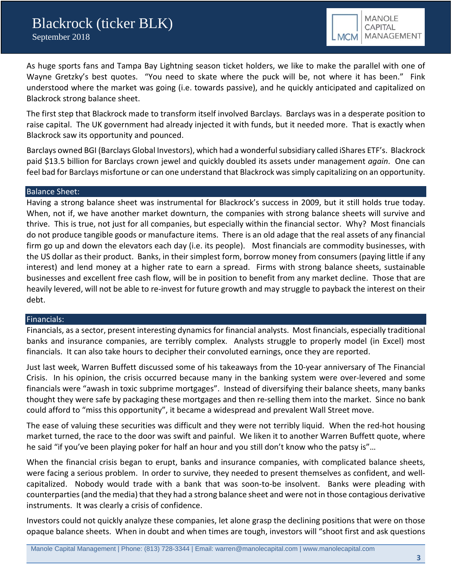As huge sports fans and Tampa Bay Lightning season ticket holders, we like to make the parallel with one of Wayne Gretzky's best quotes. "You need to skate where the puck will be, not where it has been." Fink understood where the market was going (i.e. towards passive), and he quickly anticipated and capitalized on Blackrock strong balance sheet.

The first step that Blackrock made to transform itself involved Barclays. Barclays was in a desperate position to raise capital. The UK government had already injected it with funds, but it needed more. That is exactly when Blackrock saw its opportunity and pounced.

Barclays owned BGI (Barclays Global Investors), which had a wonderful subsidiary called iShares ETF's. Blackrock paid \$13.5 billion for Barclays crown jewel and quickly doubled its assets under management *again*. One can feel bad for Barclays misfortune or can one understand that Blackrock was simply capitalizing on an opportunity.

### Balance Sheet:

Having a strong balance sheet was instrumental for Blackrock's success in 2009, but it still holds true today. When, not if, we have another market downturn, the companies with strong balance sheets will survive and thrive. This is true, not just for all companies, but especially within the financial sector. Why? Most financials do not produce tangible goods or manufacture items. There is an old adage that the real assets of any financial firm go up and down the elevators each day (i.e. its people). Most financials are commodity businesses, with the US dollar as their product. Banks, in their simplest form, borrow money from consumers (paying little if any interest) and lend money at a higher rate to earn a spread. Firms with strong balance sheets, sustainable businesses and excellent free cash flow, will be in position to benefit from any market decline. Those that are heavily levered, will not be able to re-invest for future growth and may struggle to payback the interest on their debt.

#### Financials:

Financials, as a sector, present interesting dynamics for financial analysts. Most financials, especially traditional banks and insurance companies, are terribly complex. Analysts struggle to properly model (in Excel) most financials. It can also take hours to decipher their convoluted earnings, once they are reported.

Just last week, Warren Buffett discussed some of his takeaways from the 10-year anniversary of The Financial Crisis. In his opinion, the crisis occurred because many in the banking system were over-levered and some financials were "awash in toxic subprime mortgages". Instead of diversifying their balance sheets, many banks thought they were safe by packaging these mortgages and then re-selling them into the market. Since no bank could afford to "miss this opportunity", it became a widespread and prevalent Wall Street move.

The ease of valuing these securities was difficult and they were not terribly liquid. When the red-hot housing market turned, the race to the door was swift and painful. We liken it to another Warren Buffett quote, where he said "if you've been playing poker for half an hour and you still don't know who the patsy is"…

When the financial crisis began to erupt, banks and insurance companies, with complicated balance sheets, were facing a serious problem. In order to survive, they needed to present themselves as confident, and wellcapitalized. Nobody would trade with a bank that was soon-to-be insolvent. Banks were pleading with counterparties (and the media) that they had a strong balance sheet and were not in those contagious derivative instruments. It was clearly a crisis of confidence.

Investors could not quickly analyze these companies, let alone grasp the declining positions that were on those opaque balance sheets. When in doubt and when times are tough, investors will "shoot first and ask questions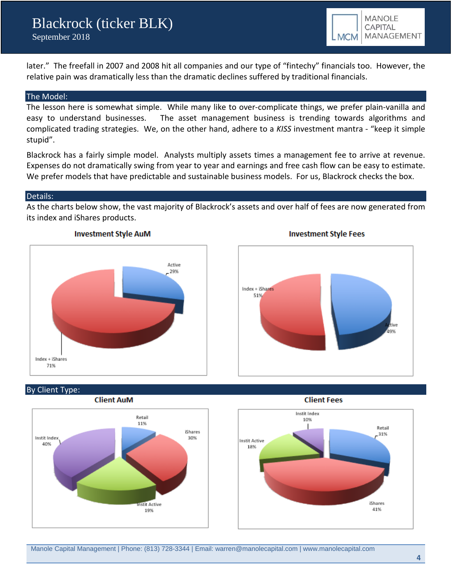later." The freefall in 2007 and 2008 hit all companies and our type of "fintechy" financials too. However, the relative pain was dramatically less than the dramatic declines suffered by traditional financials.

#### The Model:

The lesson here is somewhat simple. While many like to over-complicate things, we prefer plain-vanilla and easy to understand businesses. The asset management business is trending towards algorithms and complicated trading strategies. We, on the other hand, adhere to a *KISS* investment mantra - "keep it simple stupid".

Blackrock has a fairly simple model. Analysts multiply assets times a management fee to arrive at revenue. Expenses do not dramatically swing from year to year and earnings and free cash flow can be easy to estimate. We prefer models that have predictable and sustainable business models. For us, Blackrock checks the box.

#### Details:

As the charts below show, the vast majority of Blackrock's assets and over half of fees are now generated from its index and iShares products.







# By Client Type:



#### **Client Fees**



**Client AuM**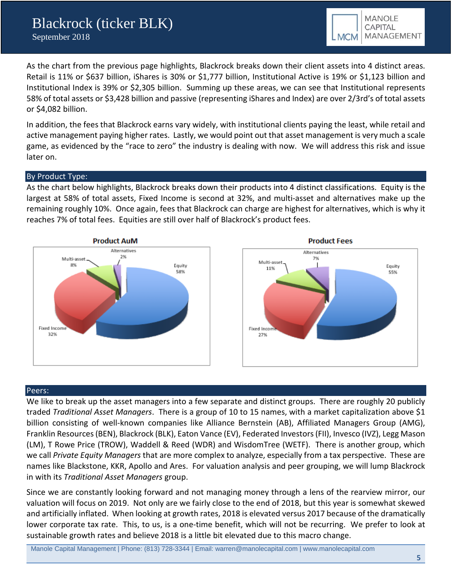As the chart from the previous page highlights, Blackrock breaks down their client assets into 4 distinct areas. Retail is 11% or \$637 billion, iShares is 30% or \$1,777 billion, Institutional Active is 19% or \$1,123 billion and Institutional Index is 39% or \$2,305 billion. Summing up these areas, we can see that Institutional represents 58% of total assets or \$3,428 billion and passive (representing iShares and Index) are over 2/3rd's of total assets or \$4,082 billion.

In addition, the fees that Blackrock earns vary widely, with institutional clients paying the least, while retail and active management paying higher rates. Lastly, we would point out that asset management is very much a scale game, as evidenced by the "race to zero" the industry is dealing with now. We will address this risk and issue later on.

### By Product Type:

As the chart below highlights, Blackrock breaks down their products into 4 distinct classifications. Equity is the largest at 58% of total assets, Fixed Income is second at 32%, and multi-asset and alternatives make up the remaining roughly 10%. Once again, fees that Blackrock can charge are highest for alternatives, which is why it reaches 7% of total fees. Equities are still over half of Blackrock's product fees.





### Peers:

We like to break up the asset managers into a few separate and distinct groups. There are roughly 20 publicly traded *Traditional Asset Managers*. There is a group of 10 to 15 names, with a market capitalization above \$1 billion consisting of well-known companies like Alliance Bernstein (AB), Affiliated Managers Group (AMG), Franklin Resources (BEN), Blackrock (BLK), Eaton Vance (EV), Federated Investors (FII), Invesco (IVZ), Legg Mason (LM), T Rowe Price (TROW), Waddell & Reed (WDR) and WisdomTree (WETF). There is another group, which we call *Private Equity Managers* that are more complex to analyze, especially from a tax perspective. These are names like Blackstone, KKR, Apollo and Ares. For valuation analysis and peer grouping, we will lump Blackrock in with its *Traditional Asset Managers* group.

Since we are constantly looking forward and not managing money through a lens of the rearview mirror, our valuation will focus on 2019. Not only are we fairly close to the end of 2018, but this year is somewhat skewed and artificially inflated. When looking at growth rates, 2018 is elevated versus 2017 because of the dramatically lower corporate tax rate. This, to us, is a one-time benefit, which will not be recurring. We prefer to look at sustainable growth rates and believe 2018 is a little bit elevated due to this macro change.

Manole Capital Management | Phone: (813) 728-3344 | Email: warren@manolecapital.com | www.manolecapital.com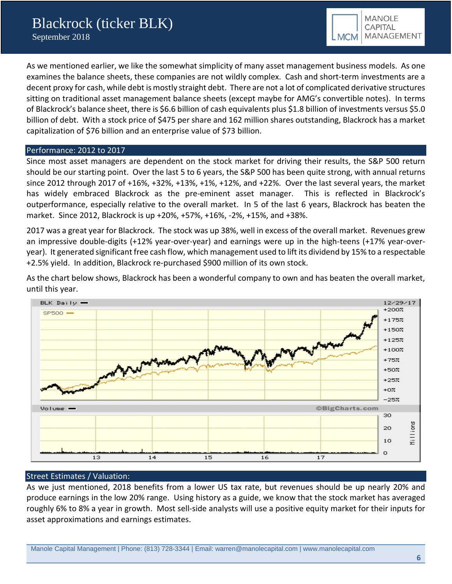As we mentioned earlier, we like the somewhat simplicity of many asset management business models. As one examines the balance sheets, these companies are not wildly complex. Cash and short-term investments are a decent proxy for cash, while debt is mostly straight debt. There are not a lot of complicated derivative structures sitting on traditional asset management balance sheets (except maybe for AMG's convertible notes). In terms of Blackrock's balance sheet, there is \$6.6 billion of cash equivalents plus \$1.8 billion of investments versus \$5.0 billion of debt. With a stock price of \$475 per share and 162 million shares outstanding, Blackrock has a market capitalization of \$76 billion and an enterprise value of \$73 billion.

### Performance: 2012 to 2017

Since most asset managers are dependent on the stock market for driving their results, the S&P 500 return should be our starting point. Over the last 5 to 6 years, the S&P 500 has been quite strong, with annual returns since 2012 through 2017 of +16%, +32%, +13%, +1%, +12%, and +22%. Over the last several years, the market has widely embraced Blackrock as the pre-eminent asset manager. This is reflected in Blackrock's outperformance, especially relative to the overall market. In 5 of the last 6 years, Blackrock has beaten the market. Since 2012, Blackrock is up +20%, +57%, +16%, -2%, +15%, and +38%.

2017 was a great year for Blackrock. The stock was up 38%, well in excess of the overall market. Revenues grew an impressive double-digits (+12% year-over-year) and earnings were up in the high-teens (+17% year-overyear). It generated significant free cash flow, which management used to lift its dividend by 15% to a respectable +2.5% yield. In addition, Blackrock re-purchased \$900 million of its own stock.



As the chart below shows, Blackrock has been a wonderful company to own and has beaten the overall market, until this year.

### Street Estimates / Valuation:

As we just mentioned, 2018 benefits from a lower US tax rate, but revenues should be up nearly 20% and produce earnings in the low 20% range. Using history as a guide, we know that the stock market has averaged roughly 6% to 8% a year in growth. Most sell-side analysts will use a positive equity market for their inputs for asset approximations and earnings estimates.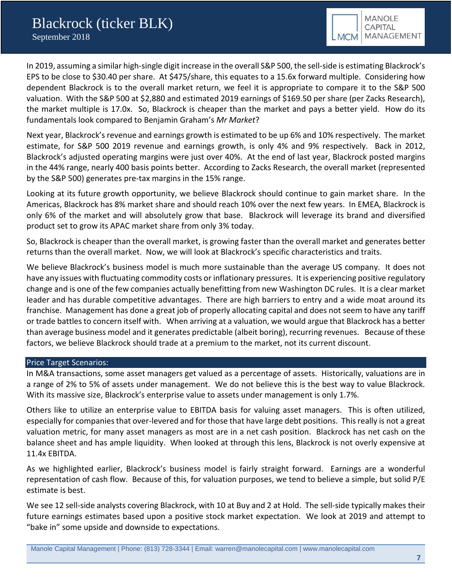In 2019, assuming a similar high-single digit increase in the overall S&P 500, the sell-side is estimating Blackrock's EPS to be close to \$30.40 per share. At \$475/share, this equates to a 15.6x forward multiple. Considering how dependent Blackrock is to the overall market return, we feel it is appropriate to compare it to the S&P 500 valuation. With the S&P 500 at \$2,880 and estimated 2019 earnings of \$169.50 per share (per Zacks Research), the market multiple is 17.0x. So, Blackrock is cheaper than the market and pays a better yield. How do its fundamentals look compared to Benjamin Graham's *Mr Market*?

Next year, Blackrock's revenue and earnings growth is estimated to be up 6% and 10% respectively. The market estimate, for S&P 500 2019 revenue and earnings growth, is only 4% and 9% respectively. Back in 2012, Blackrock's adjusted operating margins were just over 40%. At the end of last year, Blackrock posted margins in the 44% range, nearly 400 basis points better. According to Zacks Research, the overall market (represented by the S&P 500) generates pre-tax margins in the 15% range.

Looking at its future growth opportunity, we believe Blackrock should continue to gain market share. In the Americas, Blackrock has 8% market share and should reach 10% over the next few years. In EMEA, Blackrock is only 6% of the market and will absolutely grow that base. Blackrock will leverage its brand and diversified product set to grow its APAC market share from only 3% today.

So, Blackrock is cheaper than the overall market, is growing faster than the overall market and generates better returns than the overall market. Now, we will look at Blackrock's specific characteristics and traits.

We believe Blackrock's business model is much more sustainable than the average US company. It does not have any issues with fluctuating commodity costs or inflationary pressures. It is experiencing positive regulatory change and is one of the few companies actually benefitting from new Washington DC rules. It is a clear market leader and has durable competitive advantages. There are high barriers to entry and a wide moat around its franchise. Management has done a great job of properly allocating capital and does not seem to have any tariff or trade battles to concern itself with. When arriving at a valuation, we would argue that Blackrock has a better than average business model and it generates predictable (albeit boring), recurring revenues. Because of these factors, we believe Blackrock should trade at a premium to the market, not its current discount.

### Price Target Scenarios:

In M&A transactions, some asset managers get valued as a percentage of assets. Historically, valuations are in a range of 2% to 5% of assets under management. We do not believe this is the best way to value Blackrock. With its massive size, Blackrock's enterprise value to assets under management is only 1.7%.

Others like to utilize an enterprise value to EBITDA basis for valuing asset managers. This is often utilized, especially for companies that over-levered and for those that have large debt positions. This really is not a great valuation metric, for many asset managers as most are in a net cash position. Blackrock has net cash on the balance sheet and has ample liquidity. When looked at through this lens, Blackrock is not overly expensive at 11.4x EBITDA.

As we highlighted earlier, Blackrock's business model is fairly straight forward. Earnings are a wonderful representation of cash flow. Because of this, for valuation purposes, we tend to believe a simple, but solid P/E estimate is best.

We see 12 sell-side analysts covering Blackrock, with 10 at Buy and 2 at Hold. The sell-side typically makes their future earnings estimates based upon a positive stock market expectation. We look at 2019 and attempt to "bake in" some upside and downside to expectations.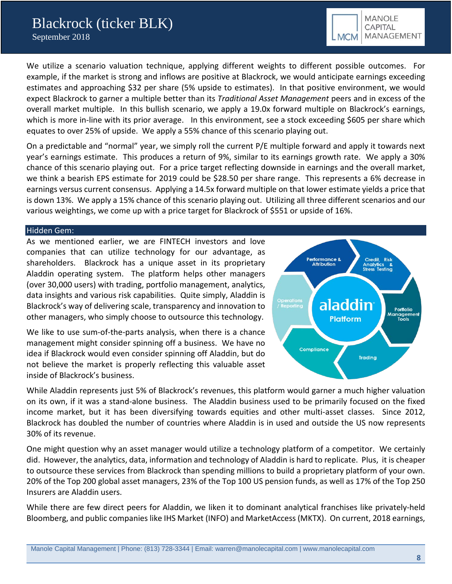We utilize a scenario valuation technique, applying different weights to different possible outcomes. For example, if the market is strong and inflows are positive at Blackrock, we would anticipate earnings exceeding estimates and approaching \$32 per share (5% upside to estimates). In that positive environment, we would expect Blackrock to garner a multiple better than its *Traditional Asset Management* peers and in excess of the overall market multiple. In this bullish scenario, we apply a 19.0x forward multiple on Blackrock's earnings, which is more in-line with its prior average. In this environment, see a stock exceeding \$605 per share which equates to over 25% of upside. We apply a 55% chance of this scenario playing out.

On a predictable and "normal" year, we simply roll the current P/E multiple forward and apply it towards next year's earnings estimate. This produces a return of 9%, similar to its earnings growth rate. We apply a 30% chance of this scenario playing out. For a price target reflecting downside in earnings and the overall market, we think a bearish EPS estimate for 2019 could be \$28.50 per share range. This represents a 6% decrease in earnings versus current consensus. Applying a 14.5x forward multiple on that lower estimate yields a price that is down 13%. We apply a 15% chance of this scenario playing out. Utilizing all three different scenarios and our various weightings, we come up with a price target for Blackrock of \$551 or upside of 16%.

### Hidden Gem:

As we mentioned earlier, we are FINTECH investors and love companies that can utilize technology for our advantage, as shareholders. Blackrock has a unique asset in its proprietary Aladdin operating system. The platform helps other managers (over 30,000 users) with trading, portfolio management, analytics, data insights and various risk capabilities. Quite simply, Aladdin is Blackrock's way of delivering scale, transparency and innovation to other managers, who simply choose to outsource this technology.

We like to use sum-of-the-parts analysis, when there is a chance management might consider spinning off a business. We have no idea if Blackrock would even consider spinning off Aladdin, but do not believe the market is properly reflecting this valuable asset inside of Blackrock's business.



While Aladdin represents just 5% of Blackrock's revenues, this platform would garner a much higher valuation on its own, if it was a stand-alone business. The Aladdin business used to be primarily focused on the fixed income market, but it has been diversifying towards equities and other multi-asset classes. Since 2012, Blackrock has doubled the number of countries where Aladdin is in used and outside the US now represents 30% of its revenue.

One might question why an asset manager would utilize a technology platform of a competitor. We certainly did. However, the analytics, data, information and technology of Aladdin is hard to replicate. Plus, it is cheaper to outsource these services from Blackrock than spending millions to build a proprietary platform of your own. 20% of the Top 200 global asset managers, 23% of the Top 100 US pension funds, as well as 17% of the Top 250 Insurers are Aladdin users.

While there are few direct peers for Aladdin, we liken it to dominant analytical franchises like privately-held Bloomberg, and public companies like IHS Market (INFO) and MarketAccess (MKTX). On current, 2018 earnings,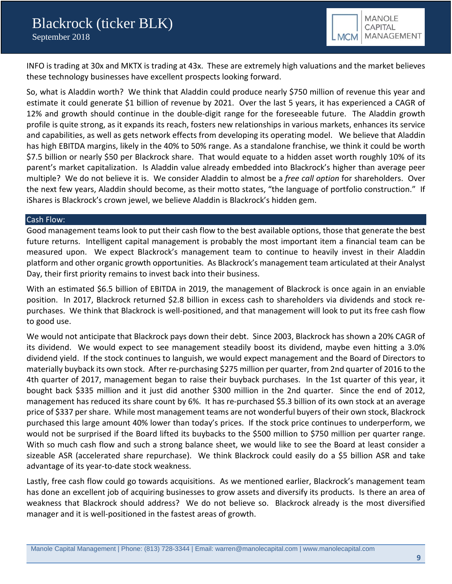

INFO is trading at 30x and MKTX is trading at 43x. These are extremely high valuations and the market believes these technology businesses have excellent prospects looking forward.

So, what is Aladdin worth? We think that Aladdin could produce nearly \$750 million of revenue this year and estimate it could generate \$1 billion of revenue by 2021. Over the last 5 years, it has experienced a CAGR of 12% and growth should continue in the double-digit range for the foreseeable future. The Aladdin growth profile is quite strong, as it expands its reach, fosters new relationships in various markets, enhances its service and capabilities, as well as gets network effects from developing its operating model. We believe that Aladdin has high EBITDA margins, likely in the 40% to 50% range. As a standalone franchise, we think it could be worth \$7.5 billion or nearly \$50 per Blackrock share. That would equate to a hidden asset worth roughly 10% of its parent's market capitalization. Is Aladdin value already embedded into Blackrock's higher than average peer multiple? We do not believe it is. We consider Aladdin to almost be a *free call option* for shareholders. Over the next few years, Aladdin should become, as their motto states, "the language of portfolio construction." If iShares is Blackrock's crown jewel, we believe Aladdin is Blackrock's hidden gem.

#### Cash Flow:

Good management teams look to put their cash flow to the best available options, those that generate the best future returns. Intelligent capital management is probably the most important item a financial team can be measured upon. We expect Blackrock's management team to continue to heavily invest in their Aladdin platform and other organic growth opportunities. As Blackrock's management team articulated at their Analyst Day, their first priority remains to invest back into their business.

With an estimated \$6.5 billion of EBITDA in 2019, the management of Blackrock is once again in an enviable position. In 2017, Blackrock returned \$2.8 billion in excess cash to shareholders via dividends and stock repurchases. We think that Blackrock is well-positioned, and that management will look to put its free cash flow to good use.

We would not anticipate that Blackrock pays down their debt. Since 2003, Blackrock has shown a 20% CAGR of its dividend. We would expect to see management steadily boost its dividend, maybe even hitting a 3.0% dividend yield. If the stock continues to languish, we would expect management and the Board of Directors to materially buyback its own stock. After re-purchasing \$275 million per quarter, from 2nd quarter of 2016 to the 4th quarter of 2017, management began to raise their buyback purchases. In the 1st quarter of this year, it bought back \$335 million and it just did another \$300 million in the 2nd quarter. Since the end of 2012, management has reduced its share count by 6%. It has re-purchased \$5.3 billion of its own stock at an average price of \$337 per share. While most management teams are not wonderful buyers of their own stock, Blackrock purchased this large amount 40% lower than today's prices. If the stock price continues to underperform, we would not be surprised if the Board lifted its buybacks to the \$500 million to \$750 million per quarter range. With so much cash flow and such a strong balance sheet, we would like to see the Board at least consider a sizeable ASR (accelerated share repurchase). We think Blackrock could easily do a \$5 billion ASR and take advantage of its year-to-date stock weakness.

Lastly, free cash flow could go towards acquisitions. As we mentioned earlier, Blackrock's management team has done an excellent job of acquiring businesses to grow assets and diversify its products. Is there an area of weakness that Blackrock should address? We do not believe so. Blackrock already is the most diversified manager and it is well-positioned in the fastest areas of growth.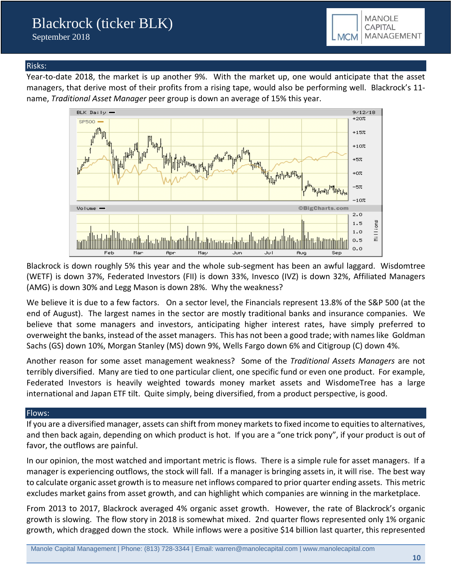

### Risks:

Year-to-date 2018, the market is up another 9%. With the market up, one would anticipate that the asset managers, that derive most of their profits from a rising tape, would also be performing well. Blackrock's 11 name, *Traditional Asset Manager* peer group is down an average of 15% this year.



Blackrock is down roughly 5% this year and the whole sub-segment has been an awful laggard. Wisdomtree (WETF) is down 37%, Federated Investors (FII) is down 33%, Invesco (IVZ) is down 32%, Affiliated Managers (AMG) is down 30% and Legg Mason is down 28%. Why the weakness?

We believe it is due to a few factors. On a sector level, the Financials represent 13.8% of the S&P 500 (at the end of August). The largest names in the sector are mostly traditional banks and insurance companies. We believe that some managers and investors, anticipating higher interest rates, have simply preferred to overweight the banks, instead of the asset managers. This has not been a good trade; with names like Goldman Sachs (GS) down 10%, Morgan Stanley (MS) down 9%, Wells Fargo down 6% and Citigroup (C) down 4%.

Another reason for some asset management weakness? Some of the *Traditional Assets Managers* are not terribly diversified. Many are tied to one particular client, one specific fund or even one product. For example, Federated Investors is heavily weighted towards money market assets and WisdomeTree has a large international and Japan ETF tilt. Quite simply, being diversified, from a product perspective, is good.

### Flows:

If you are a diversified manager, assets can shift from money markets to fixed income to equities to alternatives, and then back again, depending on which product is hot. If you are a "one trick pony", if your product is out of favor, the outflows are painful.

In our opinion, the most watched and important metric is flows. There is a simple rule for asset managers. If a manager is experiencing outflows, the stock will fall. If a manager is bringing assets in, it will rise. The best way to calculate organic asset growth is to measure net inflows compared to prior quarter ending assets. This metric excludes market gains from asset growth, and can highlight which companies are winning in the marketplace.

From 2013 to 2017, Blackrock averaged 4% organic asset growth. However, the rate of Blackrock's organic growth is slowing. The flow story in 2018 is somewhat mixed. 2nd quarter flows represented only 1% organic growth, which dragged down the stock. While inflows were a positive \$14 billion last quarter, this represented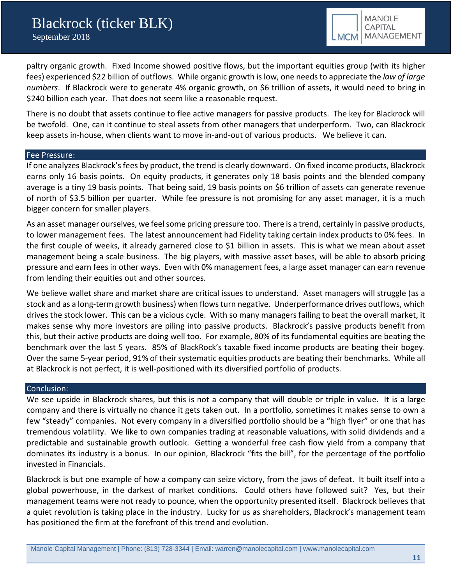paltry organic growth. Fixed Income showed positive flows, but the important equities group (with its higher fees) experienced \$22 billion of outflows. While organic growth is low, one needs to appreciate the *law of large numbers*. If Blackrock were to generate 4% organic growth, on \$6 trillion of assets, it would need to bring in \$240 billion each year. That does not seem like a reasonable request.

There is no doubt that assets continue to flee active managers for passive products. The key for Blackrock will be twofold. One, can it continue to steal assets from other managers that underperform. Two, can Blackrock keep assets in-house, when clients want to move in-and-out of various products. We believe it can.

### Fee Pressure:

If one analyzes Blackrock's fees by product, the trend is clearly downward. On fixed income products, Blackrock earns only 16 basis points. On equity products, it generates only 18 basis points and the blended company average is a tiny 19 basis points. That being said, 19 basis points on \$6 trillion of assets can generate revenue of north of \$3.5 billion per quarter. While fee pressure is not promising for any asset manager, it is a much bigger concern for smaller players.

As an asset manager ourselves, we feel some pricing pressure too. There is a trend, certainly in passive products, to lower management fees. The latest announcement had Fidelity taking certain index products to 0% fees. In the first couple of weeks, it already garnered close to \$1 billion in assets. This is what we mean about asset management being a scale business. The big players, with massive asset bases, will be able to absorb pricing pressure and earn fees in other ways. Even with 0% management fees, a large asset manager can earn revenue from lending their equities out and other sources.

We believe wallet share and market share are critical issues to understand. Asset managers will struggle (as a stock and as a long-term growth business) when flows turn negative. Underperformance drives outflows, which drives the stock lower. This can be a vicious cycle. With so many managers failing to beat the overall market, it makes sense why more investors are piling into passive products. Blackrock's passive products benefit from this, but their active products are doing well too. For example, 80% of its fundamental equities are beating the benchmark over the last 5 years. 85% of BlackRock's taxable fixed income products are beating their bogey. Over the same 5-year period, 91% of their systematic equities products are beating their benchmarks. While all at Blackrock is not perfect, it is well-positioned with its diversified portfolio of products.

### Conclusion:

We see upside in Blackrock shares, but this is not a company that will double or triple in value. It is a large company and there is virtually no chance it gets taken out. In a portfolio, sometimes it makes sense to own a few "steady" companies. Not every company in a diversified portfolio should be a "high flyer" or one that has tremendous volatility. We like to own companies trading at reasonable valuations, with solid dividends and a predictable and sustainable growth outlook. Getting a wonderful free cash flow yield from a company that dominates its industry is a bonus. In our opinion, Blackrock "fits the bill", for the percentage of the portfolio invested in Financials.

Blackrock is but one example of how a company can seize victory, from the jaws of defeat. It built itself into a global powerhouse, in the darkest of market conditions. Could others have followed suit? Yes, but their management teams were not ready to pounce, when the opportunity presented itself. Blackrock believes that a quiet revolution is taking place in the industry. Lucky for us as shareholders, Blackrock's management team has positioned the firm at the forefront of this trend and evolution.